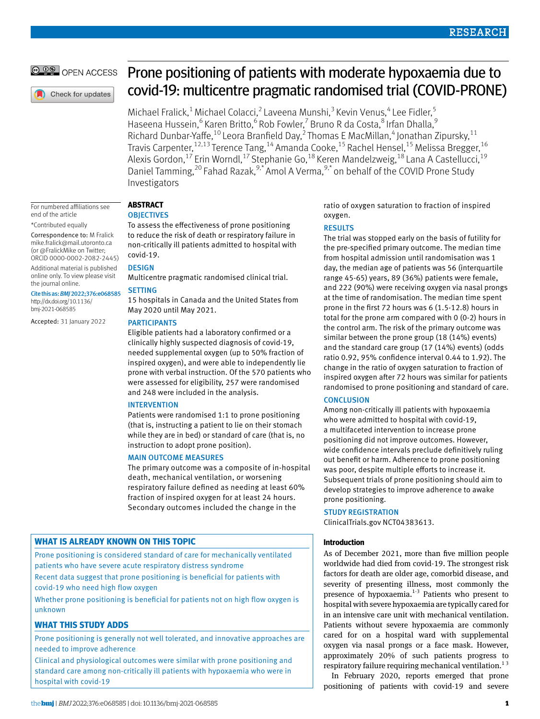# OPEN ACCESS

Check for updates

# Prone positioning of patients with moderate hypoxaemia due to covid-19: multicentre pragmatic randomised trial (COVID-PRONE)

Michael Fralick,<sup>1</sup> Michael Colacci,<sup>2</sup> Laveena Munshi,<sup>3</sup> Kevin Venus,<sup>4</sup> Lee Fidler,<sup>5</sup> Haseena Hussein, <sup>6</sup> Karen Britto, <sup>6</sup> Rob Fowler, <sup>7</sup> Bruno R da Costa, <sup>8</sup> Irfan Dhalla, <sup>9</sup> Richard Dunbar-Yaffe,<sup>10</sup> Leora Branfield Day,<sup>2</sup> Thomas E MacMillan,<sup>4</sup> Jonathan Zipursky,<sup>11</sup> Travis Carpenter,<sup>12,13</sup> Terence Tang,<sup>14</sup> Amanda Cooke,<sup>15</sup> Rachel Hensel,<sup>15</sup> Melissa Bregger,<sup>16</sup> Alexis Gordon,  $^{17}$  Erin Worndl,  $^{17}$  Stephanie Go,  $^{18}$  Keren Mandelzweig,  $^{18}$  Lana A Castellucci,  $^{19}$ Daniel Tamming,  $20$  Fahad Razak,  $9, 4$  Amol A Verma,  $9, 5$  on behalf of the COVID Prone Study Investigators

For numbered affiliations see end of the article \*Contributed equally

Correspondence to: M Fralick [mike.fralick@mail.utoronto.ca](mailto:mike.fralick@mail.utoronto.ca) (or [@FralickMike](https://twitter.com/FralickMike) on Twitter;

ORCID [0000-0002-2082-2445](https://orcid.org/0000-0002-2082-2445)) Additional material is published online only. To view please visit

the journal online. Cite this as: *BMJ*2022;376:e068585

[http://dx.doi.org/10.1136/](http://dx.doi.org/10.1136/bmj%E2%80%912021%E2%80%91068585) [bmj-2021-068585](http://dx.doi.org/10.1136/bmj%E2%80%912021%E2%80%91068585)

Accepted: 31 January 2022

# **Abstract**

#### **OBJECTIVES**

To assess the effectiveness of prone positioning to reduce the risk of death or respiratory failure in non-critically ill patients admitted to hospital with covid-19.

# **DESIGN**

Multicentre pragmatic randomised clinical trial.

# **SETTING**

15 hospitals in Canada and the United States from May 2020 until May 2021.

#### **PARTICIPANTS**

Eligible patients had a laboratory confirmed or a clinically highly suspected diagnosis of covid-19, needed supplemental oxygen (up to 50% fraction of inspired oxygen), and were able to independently lie prone with verbal instruction. Of the 570 patients who were assessed for eligibility, 257 were randomised and 248 were included in the analysis.

# **INTERVENTION**

Patients were randomised 1:1 to prone positioning (that is, instructing a patient to lie on their stomach while they are in bed) or standard of care (that is, no instruction to adopt prone position).

# Main outcome measures

The primary outcome was a composite of in-hospital death, mechanical ventilation, or worsening respiratory failure defined as needing at least 60% fraction of inspired oxygen for at least 24 hours. Secondary outcomes included the change in the

# **What is already known on this topic**

Prone positioning is considered standard of care for mechanically ventilated patients who have severe acute respiratory distress syndrome Recent data suggest that prone positioning is beneficial for patients with

covid-19 who need high flow oxygen

Whether prone positioning is beneficial for patients not on high flow oxygen is unknown

# **What this study adds**

Prone positioning is generally not well tolerated, and innovative approaches are needed to improve adherence

Clinical and physiological outcomes were similar with prone positioning and standard care among non-critically ill patients with hypoxaemia who were in hospital with covid-19

ratio of oxygen saturation to fraction of inspired oxygen.

# **RESULTS**

The trial was stopped early on the basis of futility for the pre-specified primary outcome. The median time from hospital admission until randomisation was 1 day, the median age of patients was 56 (interquartile range 45-65) years, 89 (36%) patients were female, and 222 (90%) were receiving oxygen via nasal prongs at the time of randomisation. The median time spent prone in the first 72 hours was 6 (1.5-12.8) hours in total for the prone arm compared with 0 (0-2) hours in the control arm. The risk of the primary outcome was similar between the prone group (18 (14%) events) and the standard care group (17 (14%) events) (odds ratio 0.92, 95% confidence interval 0.44 to 1.92). The change in the ratio of oxygen saturation to fraction of inspired oxygen after 72 hours was similar for patients randomised to prone positioning and standard of care.

# **CONCLUSION**

Among non-critically ill patients with hypoxaemia who were admitted to hospital with covid-19, a multifaceted intervention to increase prone positioning did not improve outcomes. However, wide confidence intervals preclude definitively ruling out benefit or harm. Adherence to prone positioning was poor, despite multiple efforts to increase it. Subsequent trials of prone positioning should aim to develop strategies to improve adherence to awake prone positioning.

# Study registration

ClinicalTrials.gov [NCT04383613.](file:///D:\BMJ\BMJ%20academic\2022\March\Research\bmj-2021-068585\Pre-editing\NCT04383613)

# **Introduction**

As of December 2021, more than five million people worldwide had died from covid-19. The strongest risk factors for death are older age, comorbid disease, and severity of presenting illness, most commonly the presence of hypoxaemia. $1-3$  Patients who present to hospital with severe hypoxaemia are typically cared for in an intensive care unit with mechanical ventilation. Patients without severe hypoxaemia are commonly cared for on a hospital ward with supplemental oxygen via nasal prongs or a face mask. However, approximately 20% of such patients progress to respiratory failure requiring mechanical ventilation.<sup>13</sup>

In February 2020, reports emerged that prone positioning of patients with covid-19 and severe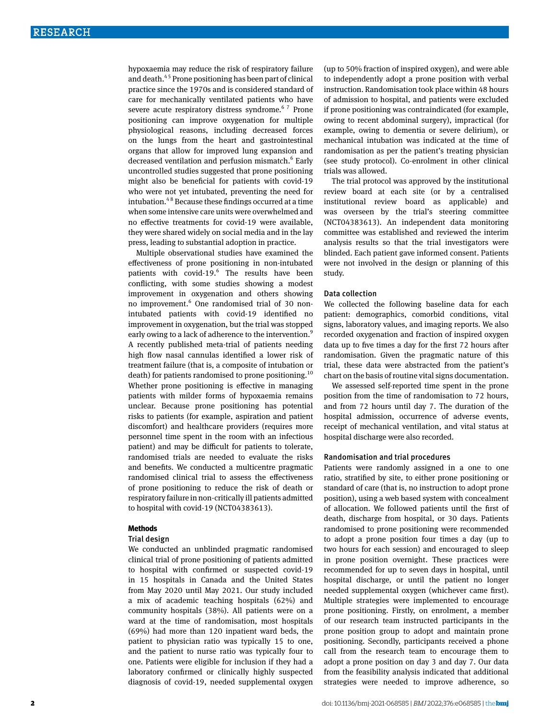hypoxaemia may reduce the risk of respiratory failure and death.<sup>45</sup> Prone positioning has been part of clinical practice since the 1970s and is considered standard of care for mechanically ventilated patients who have severe acute respiratory distress syndrome.<sup>67</sup> Prone positioning can improve oxygenation for multiple physiological reasons, including decreased forces on the lungs from the heart and gastrointestinal organs that allow for improved lung expansion and decreased ventilation and perfusion mismatch.<sup>6</sup> Early uncontrolled studies suggested that prone positioning might also be beneficial for patients with covid-19 who were not yet intubated, preventing the need for intubation.4 8 Because these findings occurred at a time when some intensive care units were overwhelmed and no effective treatments for covid-19 were available, they were shared widely on social media and in the lay press, leading to substantial adoption in practice.

Multiple observational studies have examined the effectiveness of prone positioning in non-intubated patients with covid-19.<sup>6</sup> The results have been conflicting, with some studies showing a modest improvement in oxygenation and others showing no improvement.<sup>6</sup> One randomised trial of 30 nonintubated patients with covid-19 identified no improvement in oxygenation, but the trial was stopped early owing to a lack of adherence to the intervention.<sup>9</sup> A recently published meta-trial of patients needing high flow nasal cannulas identified a lower risk of treatment failure (that is, a composite of intubation or death) for patients randomised to prone positioning.<sup>10</sup> Whether prone positioning is effective in managing patients with milder forms of hypoxaemia remains unclear. Because prone positioning has potential risks to patients (for example, aspiration and patient discomfort) and healthcare providers (requires more personnel time spent in the room with an infectious patient) and may be difficult for patients to tolerate, randomised trials are needed to evaluate the risks and benefits. We conducted a multicentre pragmatic randomised clinical trial to assess the effectiveness of prone positioning to reduce the risk of death or respiratory failure in non-critically ill patients admitted to hospital with covid-19 (NCT04383613).

#### **Methods**

#### Trial design

We conducted an unblinded pragmatic randomised clinical trial of prone positioning of patients admitted to hospital with confirmed or suspected covid-19 in 15 hospitals in Canada and the United States from May 2020 until May 2021. Our study included a mix of academic teaching hospitals (62%) and community hospitals (38%). All patients were on a ward at the time of randomisation, most hospitals (69%) had more than 120 inpatient ward beds, the patient to physician ratio was typically 15 to one, and the patient to nurse ratio was typically four to one. Patients were eligible for inclusion if they had a laboratory confirmed or clinically highly suspected diagnosis of covid-19, needed supplemental oxygen (up to 50% fraction of inspired oxygen), and were able to independently adopt a prone position with verbal instruction. Randomisation took place within 48 hours of admission to hospital, and patients were excluded if prone positioning was contraindicated (for example, owing to recent abdominal surgery), impractical (for example, owing to dementia or severe delirium), or mechanical intubation was indicated at the time of randomisation as per the patient's treating physician (see study protocol). Co-enrolment in other clinical trials was allowed.

The trial protocol was approved by the institutional review board at each site (or by a centralised institutional review board as applicable) and was overseen by the trial's steering committee (NCT04383613). An independent data monitoring committee was established and reviewed the interim analysis results so that the trial investigators were blinded. Each patient gave informed consent. Patients were not involved in the design or planning of this study.

#### Data collection

We collected the following baseline data for each patient: demographics, comorbid conditions, vital signs, laboratory values, and imaging reports. We also recorded oxygenation and fraction of inspired oxygen data up to five times a day for the first 72 hours after randomisation. Given the pragmatic nature of this trial, these data were abstracted from the patient's chart on the basis of routine vital signs documentation.

We assessed self-reported time spent in the prone position from the time of randomisation to 72 hours, and from 72 hours until day 7. The duration of the hospital admission, occurrence of adverse events, receipt of mechanical ventilation, and vital status at hospital discharge were also recorded.

#### Randomisation and trial procedures

Patients were randomly assigned in a one to one ratio, stratified by site, to either prone positioning or standard of care (that is, no instruction to adopt prone position), using a web based system with concealment of allocation. We followed patients until the first of death, discharge from hospital, or 30 days. Patients randomised to prone positioning were recommended to adopt a prone position four times a day (up to two hours for each session) and encouraged to sleep in prone position overnight. These practices were recommended for up to seven days in hospital, until hospital discharge, or until the patient no longer needed supplemental oxygen (whichever came first). Multiple strategies were implemented to encourage prone positioning. Firstly, on enrolment, a member of our research team instructed participants in the prone position group to adopt and maintain prone positioning. Secondly, participants received a phone call from the research team to encourage them to adopt a prone position on day 3 and day 7. Our data from the feasibility analysis indicated that additional strategies were needed to improve adherence, so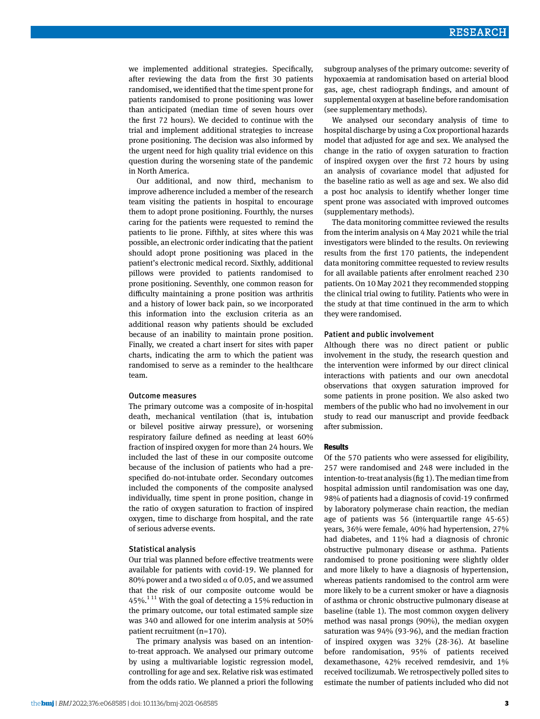we implemented additional strategies. Specifically, after reviewing the data from the first 30 patients randomised, we identified that the time spent prone for patients randomised to prone positioning was lower than anticipated (median time of seven hours over the first 72 hours). We decided to continue with the trial and implement additional strategies to increase prone positioning. The decision was also informed by the urgent need for high quality trial evidence on this question during the worsening state of the pandemic in North America.

Our additional, and now third, mechanism to improve adherence included a member of the research team visiting the patients in hospital to encourage them to adopt prone positioning. Fourthly, the nurses caring for the patients were requested to remind the patients to lie prone. Fifthly, at sites where this was possible, an electronic order indicating that the patient should adopt prone positioning was placed in the patient's electronic medical record. Sixthly, additional pillows were provided to patients randomised to prone positioning. Seventhly, one common reason for difficulty maintaining a prone position was arthritis and a history of lower back pain, so we incorporated this information into the exclusion criteria as an additional reason why patients should be excluded because of an inability to maintain prone position. Finally, we created a chart insert for sites with paper charts, indicating the arm to which the patient was randomised to serve as a reminder to the healthcare team.

#### Outcome measures

The primary outcome was a composite of in-hospital death, mechanical ventilation (that is, intubation or bilevel positive airway pressure), or worsening respiratory failure defined as needing at least 60% fraction of inspired oxygen for more than 24 hours. We included the last of these in our composite outcome because of the inclusion of patients who had a prespecified do-not-intubate order. Secondary outcomes included the components of the composite analysed individually, time spent in prone position, change in the ratio of oxygen saturation to fraction of inspired oxygen, time to discharge from hospital, and the rate of serious adverse events.

#### Statistical analysis

Our trial was planned before effective treatments were available for patients with covid-19. We planned for 80% power and a two sided  $\alpha$  of 0.05, and we assumed that the risk of our composite outcome would be 45%.<sup>111</sup> With the goal of detecting a 15% reduction in the primary outcome, our total estimated sample size was 340 and allowed for one interim analysis at 50% patient recruitment (n=170).

The primary analysis was based on an intentionto-treat approach. We analysed our primary outcome by using a multivariable logistic regression model, controlling for age and sex. Relative risk was estimated from the odds ratio. We planned a priori the following subgroup analyses of the primary outcome: severity of hypoxaemia at randomisation based on arterial blood gas, age, chest radiograph findings, and amount of supplemental oxygen at baseline before randomisation (see supplementary methods).

We analysed our secondary analysis of time to hospital discharge by using a Cox proportional hazards model that adjusted for age and sex. We analysed the change in the ratio of oxygen saturation to fraction of inspired oxygen over the first 72 hours by using an analysis of covariance model that adjusted for the baseline ratio as well as age and sex. We also did a post hoc analysis to identify whether longer time spent prone was associated with improved outcomes (supplementary methods).

The data monitoring committee reviewed the results from the interim analysis on 4 May 2021 while the trial investigators were blinded to the results. On reviewing results from the first 170 patients, the independent data monitoring committee requested to review results for all available patients after enrolment reached 230 patients. On 10 May 2021 they recommended stopping the clinical trial owing to futility. Patients who were in the study at that time continued in the arm to which they were randomised.

#### Patient and public involvement

Although there was no direct patient or public involvement in the study, the research question and the intervention were informed by our direct clinical interactions with patients and our own anecdotal observations that oxygen saturation improved for some patients in prone position. We also asked two members of the public who had no involvement in our study to read our manuscript and provide feedback after submission.

# **Results**

Of the 570 patients who were assessed for eligibility, 257 were randomised and 248 were included in the intention-to-treat analysis (fig 1). The median time from hospital admission until randomisation was one day, 98% of patients had a diagnosis of covid-19 confirmed by laboratory polymerase chain reaction, the median age of patients was 56 (interquartile range 45-65) years, 36% were female, 40% had hypertension, 27% had diabetes, and 11% had a diagnosis of chronic obstructive pulmonary disease or asthma. Patients randomised to prone positioning were slightly older and more likely to have a diagnosis of hypertension, whereas patients randomised to the control arm were more likely to be a current smoker or have a diagnosis of asthma or chronic obstructive pulmonary disease at baseline (table 1). The most common oxygen delivery method was nasal prongs (90%), the median oxygen saturation was 94% (93-96), and the median fraction of inspired oxygen was 32% (28-36). At baseline before randomisation, 95% of patients received dexamethasone, 42% received remdesivir, and 1% received tocilizumab. We retrospectively polled sites to estimate the number of patients included who did not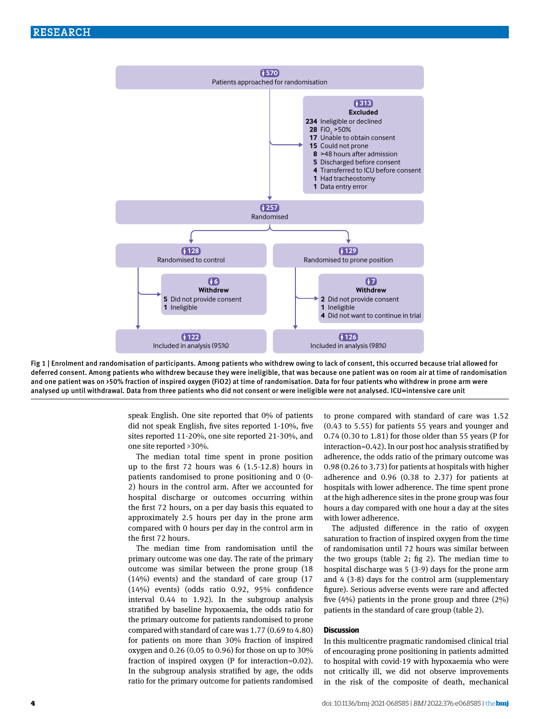

Fig 1 | Enrolment and randomisation of participants. Among patients who withdrew owing to lack of consent, this occurred because trial allowed for deferred consent. Among patients who withdrew because they were ineligible, that was because one patient was on room air at time of randomisation and one patient was on >50% fraction of inspired oxygen (FiO2) at time of randomisation. Data for four patients who withdrew in prone arm were analysed up until withdrawal. Data from three patients who did not consent or were ineligible were not analysed. ICU=intensive care unit

speak English. One site reported that 0% of patients did not speak English, five sites reported 1-10%, five sites reported 11-20%, one site reported 21-30%, and one site reported >30%.

The median total time spent in prone position up to the first 72 hours was 6 (1.5-12.8) hours in patients randomised to prone positioning and 0 (0- 2) hours in the control arm. After we accounted for hospital discharge or outcomes occurring within the first 72 hours, on a per day basis this equated to approximately 2.5 hours per day in the prone arm compared with 0 hours per day in the control arm in the first 72 hours.

The median time from randomisation until the primary outcome was one day. The rate of the primary outcome was similar between the prone group (18 (14%) events) and the standard of care group (17 (14%) events) (odds ratio 0.92, 95% confidence interval 0.44 to 1.92). In the subgroup analysis stratified by baseline hypoxaemia, the odds ratio for the primary outcome for patients randomised to prone compared with standard of care was 1.77 (0.69 to 4.80) for patients on more than 30% fraction of inspired oxygen and 0.26 (0.05 to 0.96) for those on up to 30% fraction of inspired oxygen (P for interaction=0.02). In the subgroup analysis stratified by age, the odds ratio for the primary outcome for patients randomised

to prone compared with standard of care was 1.52 (0.43 to 5.55) for patients 55 years and younger and 0.74 (0.30 to 1.81) for those older than 55 years (P for interaction=0.42). In our post hoc analysis stratified by adherence, the odds ratio of the primary outcome was 0.98 (0.26 to 3.73) for patients at hospitals with higher adherence and 0.96 (0.38 to 2.37) for patients at hospitals with lower adherence. The time spent prone at the high adherence sites in the prone group was four hours a day compared with one hour a day at the sites with lower adherence.

The adjusted difference in the ratio of oxygen saturation to fraction of inspired oxygen from the time of randomisation until 72 hours was similar between the two groups (table 2; fig 2). The median time to hospital discharge was 5 (3-9) days for the prone arm and 4 (3-8) days for the control arm (supplementary figure). Serious adverse events were rare and affected five (4%) patients in the prone group and three (2%) patients in the standard of care group (table 2).

#### **Discussion**

In this multicentre pragmatic randomised clinical trial of encouraging prone positioning in patients admitted to hospital with covid-19 with hypoxaemia who were not critically ill, we did not observe improvements in the risk of the composite of death, mechanical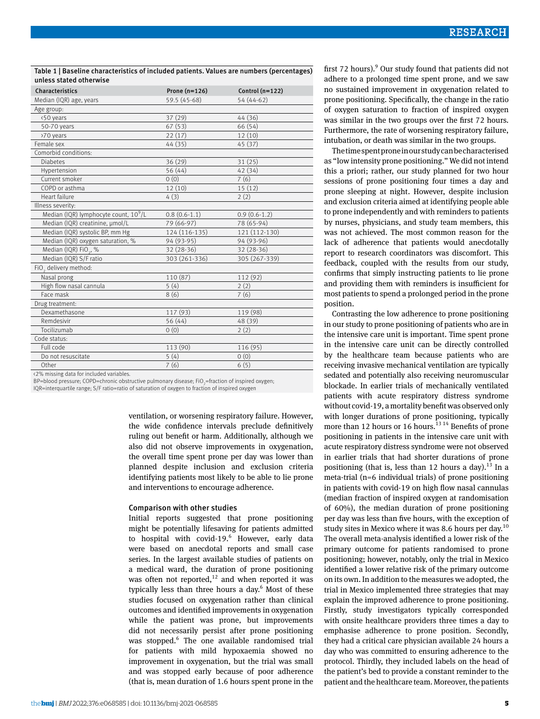Table 1 | Baseline characteristics of included patients. Values are numbers (percentages) unless stated otherwise

| Characteristics                                   | Prone $(n=126)$ | Control $(n=122)$ |
|---------------------------------------------------|-----------------|-------------------|
| Median (IQR) age, years                           | 59.5 (45-68)    | 54 (44-62)        |
| Age group:                                        |                 |                   |
| <50 years                                         | 37(29)          | 44 (36)           |
| 50-70 years                                       | 67(53)          | 66 (54)           |
| >70 years                                         | 22(17)          | 12(10)            |
| Female sex                                        | 44 (35)         | 45 (37)           |
| Comorbid conditions:                              |                 |                   |
| <b>Diabetes</b>                                   | 36 (29)         | 31(25)            |
| Hypertension                                      | 56 (44)         | 42 (34)           |
| Current smoker                                    | 0(0)            | 7(6)              |
| COPD or asthma                                    | 12(10)          | 15(12)            |
| Heart failure                                     | 4(3)            | 2(2)              |
| Illness severity:                                 |                 |                   |
| Median (IQR) lymphocyte count, 10 <sup>9</sup> /L | $0.8(0.6-1.1)$  | $0.9(0.6-1.2)$    |
| Median (IQR) creatinine, µmol/L                   | 79 (66-97)      | 78 (65-94)        |
| Median (IQR) systolic BP, mm Hg                   | 124 (116-135)   | 121 (112-130)     |
| Median (IQR) oxygen saturation, %                 | 94 (93-95)      | 94 (93-96)        |
| Median (IQR) FiO <sub>2</sub> , %                 | 32 (28-36)      | 32 (28-36)        |
| Median (IQR) S/F ratio                            | 303 (261-336)   | 305 (267-339)     |
| FiO <sub>2</sub> delivery method:                 |                 |                   |
| Nasal prong                                       | 110 (87)        | 112 (92)          |
| High flow nasal cannula                           | 5(4)            | 2(2)              |
| Face mask                                         | 8(6)            | 7(6)              |
| Drug treatment:                                   |                 |                   |
| Dexamethasone                                     | 117 (93)        | 119 (98)          |
| Remdesivir                                        | 56 (44)         | 48 (39)           |
| Tocilizumab                                       | 0(0)            | 2(2)              |
| Code status:                                      |                 |                   |
| Full code                                         | 113 (90)        | 116 (95)          |
| Do not resuscitate                                | 5(4)            | 0(0)              |
| Other                                             | 7(6)            | 6(5)              |
|                                                   |                 |                   |

<2% missing data for included variables.

BP=blood pressure; COPD=chronic obstructive pulmonary disease; FiO<sub>2</sub>=fraction of inspired oxygen; IQR=interquartile range; S/F ratio=ratio of saturation of oxygen to fraction of inspired oxygen

> ventilation, or worsening respiratory failure. However, the wide confidence intervals preclude definitively ruling out benefit or harm. Additionally, although we also did not observe improvements in oxygenation, the overall time spent prone per day was lower than planned despite inclusion and exclusion criteria identifying patients most likely to be able to lie prone and interventions to encourage adherence.

#### Comparison with other studies

Initial reports suggested that prone positioning might be potentially lifesaving for patients admitted to hospital with covid-19.<sup>6</sup> However, early data were based on anecdotal reports and small case series. In the largest available studies of patients on a medical ward, the duration of prone positioning was often not reported, $12$  and when reported it was typically less than three hours a day.<sup>6</sup> Most of these studies focused on oxygenation rather than clinical outcomes and identified improvements in oxygenation while the patient was prone, but improvements did not necessarily persist after prone positioning was stopped.<sup>6</sup> The one available randomised trial for patients with mild hypoxaemia showed no improvement in oxygenation, but the trial was small and was stopped early because of poor adherence (that is, mean duration of 1.6 hours spent prone in the

first 72 hours).<sup>9</sup> Our study found that patients did not adhere to a prolonged time spent prone, and we saw no sustained improvement in oxygenation related to prone positioning. Specifically, the change in the ratio of oxygen saturation to fraction of inspired oxygen was similar in the two groups over the first 72 hours. Furthermore, the rate of worsening respiratory failure, intubation, or death was similar in the two groups.

The time spent prone in our study can be characterised as "low intensity prone positioning." We did not intend this a priori; rather, our study planned for two hour sessions of prone positioning four times a day and prone sleeping at night. However, despite inclusion and exclusion criteria aimed at identifying people able to prone independently and with reminders to patients by nurses, physicians, and study team members, this was not achieved. The most common reason for the lack of adherence that patients would anecdotally report to research coordinators was discomfort. This feedback, coupled with the results from our study, confirms that simply instructing patients to lie prone and providing them with reminders is insufficient for most patients to spend a prolonged period in the prone position.

Contrasting the low adherence to prone positioning in our study to prone positioning of patients who are in the intensive care unit is important. Time spent prone in the intensive care unit can be directly controlled by the healthcare team because patients who are receiving invasive mechanical ventilation are typically sedated and potentially also receiving neuromuscular blockade. In earlier trials of mechanically ventilated patients with acute respiratory distress syndrome without covid-19, a mortality benefit was observed only with longer durations of prone positioning, typically more than 12 hours or 16 hours.<sup>13 14</sup> Benefits of prone positioning in patients in the intensive care unit with acute respiratory distress syndrome were not observed in earlier trials that had shorter durations of prone positioning (that is, less than 12 hours a day).<sup>13</sup> In a meta-trial (n=6 individual trials) of prone positioning in patients with covid-19 on high flow nasal cannulas (median fraction of inspired oxygen at randomisation of 60%), the median duration of prone positioning per day was less than five hours, with the exception of study sites in Mexico where it was 8.6 hours per day. $^{10}$ The overall meta-analysis identified a lower risk of the primary outcome for patients randomised to prone positioning; however, notably, only the trial in Mexico identified a lower relative risk of the primary outcome on its own. In addition to the measures we adopted, the trial in Mexico implemented three strategies that may explain the improved adherence to prone positioning. Firstly, study investigators typically corresponded with onsite healthcare providers three times a day to emphasise adherence to prone position. Secondly, they had a critical care physician available 24 hours a day who was committed to ensuring adherence to the protocol. Thirdly, they included labels on the head of the patient's bed to provide a constant reminder to the patient and the healthcare team. Moreover, the patients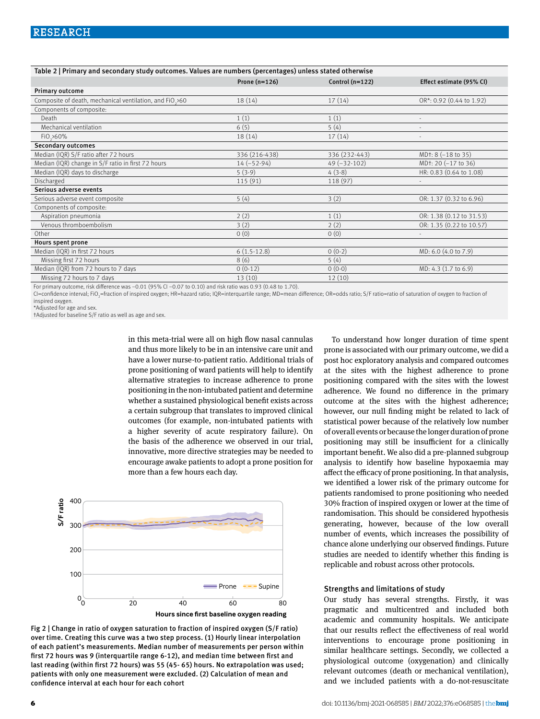| Table 2   Primary and secondary study outcomes. Values are numbers (percentages) unless stated otherwise |                 |                   |                                  |  |
|----------------------------------------------------------------------------------------------------------|-----------------|-------------------|----------------------------------|--|
|                                                                                                          | Prone $(n=126)$ | Control $(n=122)$ | Effect estimate (95% CI)         |  |
| Primary outcome                                                                                          |                 |                   |                                  |  |
| Composite of death, mechanical ventilation, and FiO.>60                                                  | 18 (14)         | 17(14)            | OR*: 0.92 (0.44 to 1.92)         |  |
| Components of composite:                                                                                 |                 |                   |                                  |  |
| Death                                                                                                    | 1(1)            | 1(1)              | $\sim$                           |  |
| Mechanical ventilation                                                                                   | 6(5)            | 5(4)              |                                  |  |
| Fi0, >60%                                                                                                | 18(14)          | 17(14)            |                                  |  |
| <b>Secondary outcomes</b>                                                                                |                 |                   |                                  |  |
| Median (IQR) S/F ratio after 72 hours                                                                    | 336 (216-438)   | 336 (232-443)     | $MDt: 8 (-18 to 35)$             |  |
| Median (IQR) change in S/F ratio in first 72 hours                                                       | $14 (-52-94)$   | $49 (-32-102)$    | MD <sub>1</sub> : 20 (-17 to 36) |  |
| Median (IQR) days to discharge                                                                           | $5(3-9)$        | $4(3-8)$          | HR: 0.83 (0.64 to 1.08)          |  |
| Discharged                                                                                               | 115(91)         | 118 (97)          | $\sim$                           |  |
| Serious adverse events                                                                                   |                 |                   |                                  |  |
| Serious adverse event composite                                                                          | 5(4)            | 3(2)              | OR: 1.37 (0.32 to 6.96)          |  |
| Components of composite:                                                                                 |                 |                   |                                  |  |
| Aspiration pneumonia                                                                                     | 2(2)            | 1(1)              | OR: 1.38 (0.12 to 31.53)         |  |
| Venous thromboembolism                                                                                   | 3(2)            | 2(2)              | OR: 1.35 (0.22 to 10.57)         |  |
| Other                                                                                                    | 0(0)            | 0(0)              |                                  |  |
| Hours spent prone                                                                                        |                 |                   |                                  |  |
| Median (IQR) in first 72 hours                                                                           | $6(1.5-12.8)$   | $0(0-2)$          | MD: 6.0 (4.0 to 7.9)             |  |
| Missing first 72 hours                                                                                   | 8(6)            | 5(4)              |                                  |  |
| Median (IQR) from 72 hours to 7 days                                                                     | $0(0-12)$       | $0(0-0)$          | MD: 4.3 (1.7 to 6.9)             |  |
| Missing 72 hours to 7 days                                                                               | 13(10)          | 12(10)            |                                  |  |

For primary outcome, risk difference was −0.01 (95% CI −0.07 to 0.10) and risk ratio was 0.93 (0.48 to 1.70).

CI=confidence interval; FiO<sub>2</sub>=fraction of inspired oxygen; HR=hazard ratio; IQR=interquartile range; MD=mean difference; OR=odds ratio; S/F ratio=ratio of saturation of oxygen to fraction of inspired oxygen.

\*Adjusted for age and sex.

†Adjusted for baseline S/F ratio as well as age and sex.

in this meta-trial were all on high flow nasal cannulas and thus more likely to be in an intensive care unit and have a lower nurse-to-patient ratio. Additional trials of prone positioning of ward patients will help to identify alternative strategies to increase adherence to prone positioning in the non-intubated patient and determine whether a sustained physiological benefit exists across a certain subgroup that translates to improved clinical outcomes (for example, non-intubated patients with a higher severity of acute respiratory failure). On the basis of the adherence we observed in our trial, innovative, more directive strategies may be needed to encourage awake patients to adopt a prone position for more than a few hours each day.



Fig 2 | Change in ratio of oxygen saturation to fraction of inspired oxygen (S/F ratio) over time. Creating this curve was a two step process. (1) Hourly linear interpolation of each patient's measurements. Median number of measurements per person within first 72 hours was 9 (interquartile range 6-12), and median time between first and last reading (within first 72 hours) was 55 (45- 65) hours. No extrapolation was used; patients with only one measurement were excluded. (2) Calculation of mean and confidence interval at each hour for each cohort

To understand how longer duration of time spent prone is associated with our primary outcome, we did a post hoc exploratory analysis and compared outcomes at the sites with the highest adherence to prone positioning compared with the sites with the lowest adherence. We found no difference in the primary outcome at the sites with the highest adherence; however, our null finding might be related to lack of statistical power because of the relatively low number of overall events or because the longer duration of prone positioning may still be insufficient for a clinically important benefit. We also did a pre-planned subgroup analysis to identify how baseline hypoxaemia may affect the efficacy of prone positioning. In that analysis, we identified a lower risk of the primary outcome for patients randomised to prone positioning who needed 30% fraction of inspired oxygen or lower at the time of randomisation. This should be considered hypothesis generating, however, because of the low overall number of events, which increases the possibility of chance alone underlying our observed findings. Future studies are needed to identify whether this finding is replicable and robust across other protocols.

#### Strengths and limitations of study

Our study has several strengths. Firstly, it was pragmatic and multicentred and included both academic and community hospitals. We anticipate that our results reflect the effectiveness of real world interventions to encourage prone positioning in similar healthcare settings. Secondly, we collected a physiological outcome (oxygenation) and clinically relevant outcomes (death or mechanical ventilation), and we included patients with a do-not-resuscitate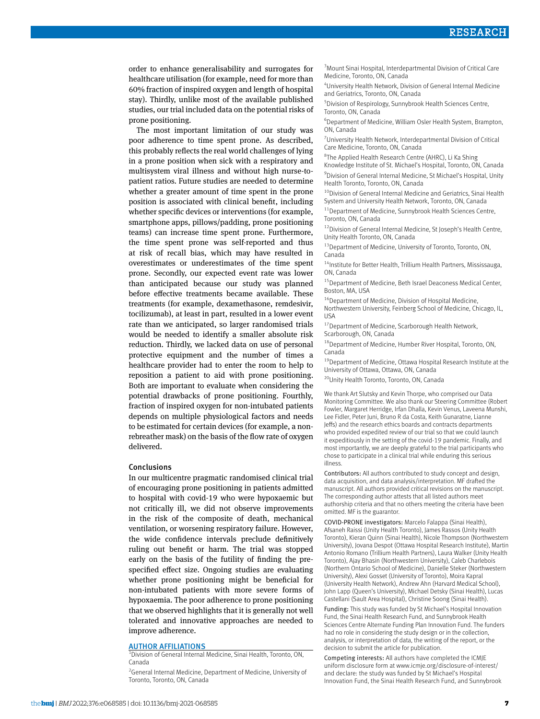order to enhance generalisability and surrogates for healthcare utilisation (for example, need for more than 60% fraction of inspired oxygen and length of hospital stay). Thirdly, unlike most of the available published studies, our trial included data on the potential risks of prone positioning.

The most important limitation of our study was poor adherence to time spent prone. As described, this probably reflects the real world challenges of lying in a prone position when sick with a respiratory and multisystem viral illness and without high nurse-topatient ratios. Future studies are needed to determine whether a greater amount of time spent in the prone position is associated with clinical benefit, including whether specific devices or interventions (for example, smartphone apps, pillows/padding, prone positioning teams) can increase time spent prone. Furthermore, the time spent prone was self-reported and thus at risk of recall bias, which may have resulted in overestimates or underestimates of the time spent prone. Secondly, our expected event rate was lower than anticipated because our study was planned before effective treatments became available. These treatments (for example, dexamethasone, remdesivir, tocilizumab), at least in part, resulted in a lower event rate than we anticipated, so larger randomised trials would be needed to identify a smaller absolute risk reduction. Thirdly, we lacked data on use of personal protective equipment and the number of times a healthcare provider had to enter the room to help to reposition a patient to aid with prone positioning. Both are important to evaluate when considering the potential drawbacks of prone positioning. Fourthly, fraction of inspired oxygen for non-intubated patients depends on multiple physiological factors and needs to be estimated for certain devices (for example, a nonrebreather mask) on the basis of the flow rate of oxygen delivered.

#### Conclusions

In our multicentre pragmatic randomised clinical trial of encouraging prone positioning in patients admitted to hospital with covid-19 who were hypoxaemic but not critically ill, we did not observe improvements in the risk of the composite of death, mechanical ventilation, or worsening respiratory failure. However, the wide confidence intervals preclude definitively ruling out benefit or harm. The trial was stopped early on the basis of the futility of finding the prespecified effect size. Ongoing studies are evaluating whether prone positioning might be beneficial for non-intubated patients with more severe forms of hypoxaemia. The poor adherence to prone positioning that we observed highlights that it is generally not well tolerated and innovative approaches are needed to improve adherence.

#### **AUTHOR AFFILIATIONS**

 $\overline{1}$ Division of General Internal Medicine, Sinai Health, Toronto, ON, Canada

<sup>2</sup> General Internal Medicine, Department of Medicine, University of Toronto, Toronto, ON, Canada

<sup>3</sup> Mount Sinai Hospital, Interdepartmental Division of Critical Care Medicine, Toronto, ON, Canada

4 University Health Network, Division of General Internal Medicine and Geriatrics, Toronto, ON, Canada

5 Division of Respirology, Sunnybrook Health Sciences Centre, Toronto, ON, Canada

6 Department of Medicine, William Osler Health System, Brampton, ON, Canada

7 University Health Network, Interdepartmental Division of Critical Care Medicine, Toronto, ON, Canada

<sup>8</sup>The Applied Health Research Centre (AHRC), Li Ka Shing Knowledge Institute of St. Michael's Hospital, Toronto, ON, Canada <sup>9</sup> Division of General Internal Medicine, St Michael's Hospital, Unity Health Toronto, Toronto, ON, Canada

<sup>10</sup>Division of General Internal Medicine and Geriatrics, Sinai Health System and University Health Network, Toronto, ON, Canada

11Department of Medicine, Sunnybrook Health Sciences Centre, Toronto, ON, Canada

<sup>12</sup> Division of General Internal Medicine, St Joseph's Health Centre, Unity Health Toronto, ON, Canada

<sup>13</sup> Department of Medicine, University of Toronto, Toronto, ON, Canada

 $14$ Institute for Better Health, Trillium Health Partners, Mississauga, ON, Canada

<sup>15</sup>Department of Medicine, Beth Israel Deaconess Medical Center, Boston, MA, USA

<sup>16</sup>Department of Medicine, Division of Hospital Medicine, Northwestern University, Feinberg School of Medicine, Chicago, IL, **IISA** 

<sup>17</sup>Department of Medicine, Scarborough Health Network, Scarborough, ON, Canada

18Department of Medicine, Humber River Hospital, Toronto, ON, Canada

<sup>19</sup> Department of Medicine, Ottawa Hospital Research Institute at the University of Ottawa, Ottawa, ON, Canada

20Unity Health Toronto, Toronto, ON, Canada

We thank Art Slutsky and Kevin Thorpe, who comprised our Data Monitoring Committee. We also thank our Steering Committee (Robert Fowler, Margaret Herridge, Irfan Dhalla, Kevin Venus, Laveena Munshi, Lee Fidler, Peter Juni, Bruno R da Costa, Keith Gunaratne, Lianne Jeffs) and the research ethics boards and contracts departments who provided expedited review of our trial so that we could launch it expeditiously in the setting of the covid-19 pandemic. Finally, and most importantly, we are deeply grateful to the trial participants who chose to participate in a clinical trial while enduring this serious illness.

Contributors: All authors contributed to study concept and design, data acquisition, and data analysis/interpretation. MF drafted the manuscript. All authors provided critical revisions on the manuscript. The corresponding author attests that all listed authors meet authorship criteria and that no others meeting the criteria have been omitted. MF is the guarantor.

COVID-PRONE investigators: Marcelo Falappa (Sinai Health), Afsaneh Raissi (Unity Health Toronto), James Rassos (Unity Health Toronto), Kieran Quinn (Sinai Health), Nicole Thompson (Northwestern University), Jovana Despot (Ottawa Hospital Research Institute), Martin Antonio Romano (Trillium Health Partners), Laura Walker (Unity Health Toronto), Ajay Bhasin (Northwestern University), Caleb Charlebois (Northern Ontario School of Medicine), Danielle Steker (Northwestern University), Alexi Gosset (University of Toronto), Moira Kapral (University Health Network), Andrew Ahn (Harvard Medical School), John Lapp (Queen's University), Michael Detsky (Sinai Health), Lucas Castellani (Sault Area Hospital), Christine Soong (Sinai Health).

Funding: This study was funded by St Michael's Hospital Innovation Fund, the Sinai Health Research Fund, and Sunnybrook Health Sciences Centre Alternate Funding Plan Innovation Fund. The funders had no role in considering the study design or in the collection, analysis, or interpretation of data, the writing of the report, or the decision to submit the article for publication.

Competing interests: All authors have completed the ICMJE uniform disclosure form at [www.icmje.org/disclosure-of-interest/](http://www.icmje.org/disclosure-of-interest/)  and declare: the study was funded by St Michael's Hospital Innovation Fund, the Sinai Health Research Fund, and Sunnybrook